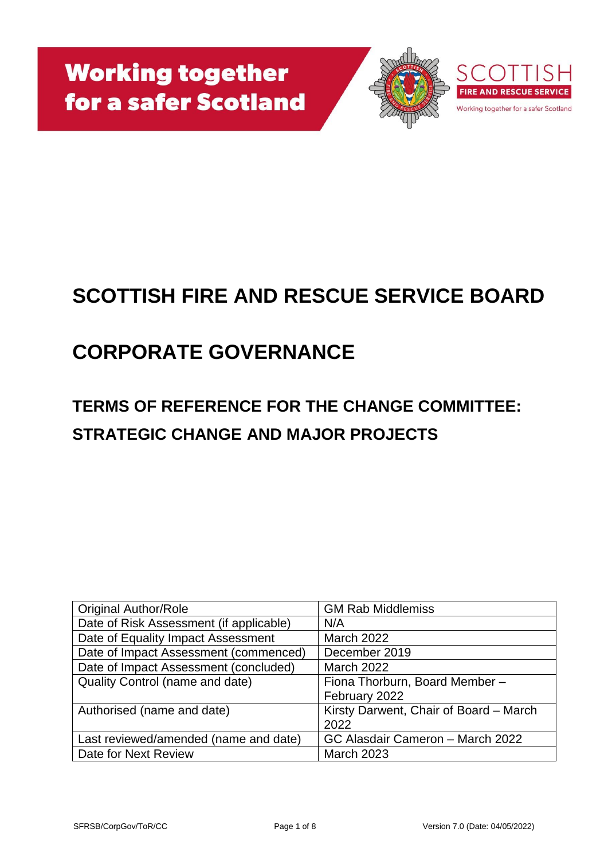

# **SCOTTISH FIRE AND RESCUE SERVICE BOARD**

# **CORPORATE GOVERNANCE**

# **TERMS OF REFERENCE FOR THE CHANGE COMMITTEE: STRATEGIC CHANGE AND MAJOR PROJECTS**

| <b>Original Author/Role</b>             | <b>GM Rab Middlemiss</b>               |
|-----------------------------------------|----------------------------------------|
| Date of Risk Assessment (if applicable) | N/A                                    |
| Date of Equality Impact Assessment      | <b>March 2022</b>                      |
| Date of Impact Assessment (commenced)   | December 2019                          |
| Date of Impact Assessment (concluded)   | <b>March 2022</b>                      |
| <b>Quality Control (name and date)</b>  | Fiona Thorburn, Board Member -         |
|                                         | February 2022                          |
| Authorised (name and date)              | Kirsty Darwent, Chair of Board - March |
|                                         | 2022                                   |
| Last reviewed/amended (name and date)   | GC Alasdair Cameron - March 2022       |
| Date for Next Review                    | <b>March 2023</b>                      |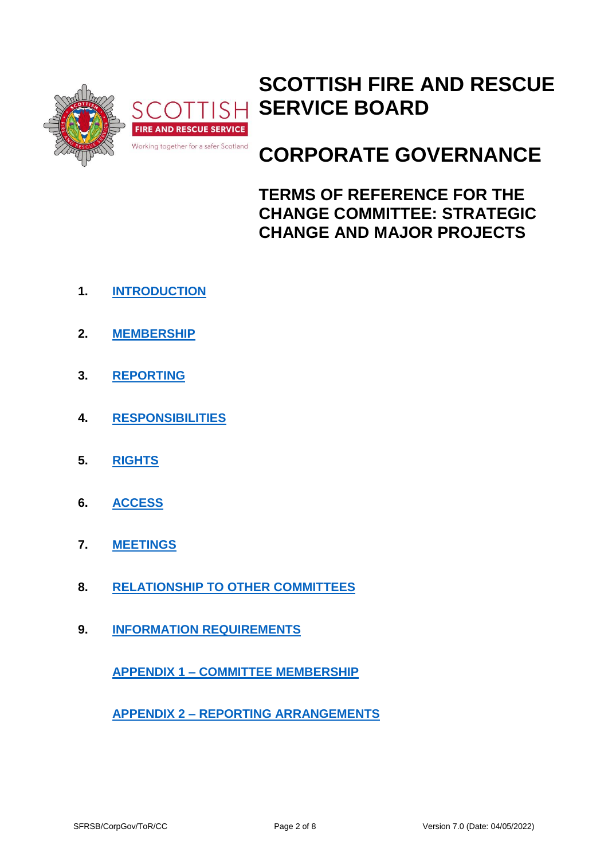

## **SCOTTISH FIRE AND RESCUE SERVICE BOARD**

# **CORPORATE GOVERNANCE**

**TERMS OF REFERENCE FOR THE CHANGE COMMITTEE: STRATEGIC CHANGE AND MAJOR PROJECTS**

- **1. INTRODUCTION**
- **2. [MEMBERSHIP](#page-2-0)**
- **3. [REPORTING](#page-3-0)**
- **4. [RESPONSIBILITIES](#page-3-1)**
- **5. [RIGHTS](#page-4-0)**
- **6. [ACCESS](#page-4-1)**
- **7. [MEETINGS](#page-5-0)**
- **8. [RELATIONSHIP TO OTHER COMMITTEES](#page-5-1)**
- **9. [INFORMATION REQUIREMENTS](#page-5-2)**

**APPENDIX 1 – [COMMITTEE MEMBERSHIP](#page-6-0)**

**APPENDIX 2 – [REPORTING ARRANGEMENTS](#page-7-0)**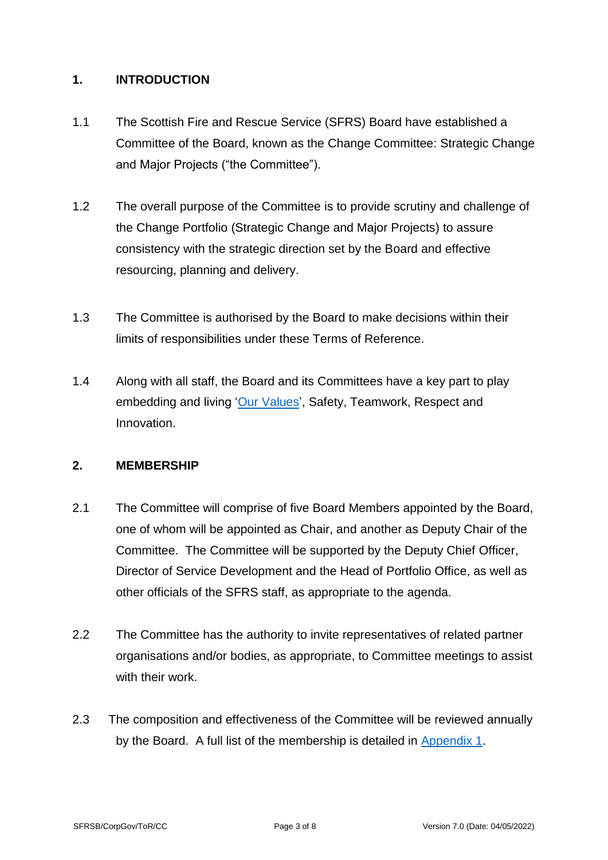#### **1. INTRODUCTION**

- 1.1 The Scottish Fire and Rescue Service (SFRS) Board have established a Committee of the Board, known as the Change Committee: Strategic Change and Major Projects ("the Committee").
- <span id="page-2-1"></span>1.2 The overall purpose of the Committee is to provide scrutiny and challenge of the Change Portfolio (Strategic Change and Major Projects) to assure consistency with the strategic direction set by the Board and effective resourcing, planning and delivery.
- 1.3 The Committee is authorised by the Board to make decisions within their limits of responsibilities under these Terms of Reference.
- 1.4 Along with all staff, the Board and its Committees have a key part to play embedding and living ['Our Values'](https://www.firescotland.gov.uk/media/1136497/sfrs-values-framework.pdf), Safety, Teamwork, Respect and Innovation.

### <span id="page-2-0"></span>**2. MEMBERSHIP**

- 2.1 The Committee will comprise of five Board Members appointed by the Board, one of whom will be appointed as Chair, and another as Deputy Chair of the Committee. The Committee will be supported by the Deputy Chief Officer, Director of Service Development and the Head of Portfolio Office, as well as other officials of the SFRS staff, as appropriate to the agenda.
- 2.2 The Committee has the authority to invite representatives of related partner organisations and/or bodies, as appropriate, to Committee meetings to assist with their work.
- 2.3 The composition and effectiveness of the Committee will be reviewed annually by the Board. A full list of the membership is detailed in [Appendix 1.](#page-6-0)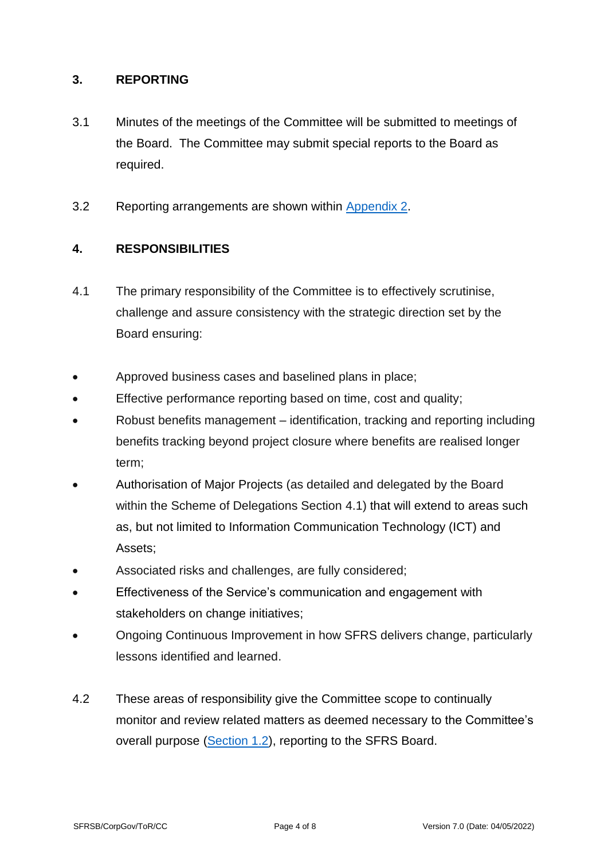#### <span id="page-3-0"></span>**3. REPORTING**

- 3.1 Minutes of the meetings of the Committee will be submitted to meetings of the Board. The Committee may submit special reports to the Board as required.
- 3.2 Reporting arrangements are shown within [Appendix 2.](#page-7-0)

### <span id="page-3-1"></span>**4. RESPONSIBILITIES**

- <span id="page-3-2"></span>4.1 The primary responsibility of the Committee is to effectively scrutinise, challenge and assure consistency with the strategic direction set by the Board ensuring:
- Approved business cases and baselined plans in place;
- Effective performance reporting based on time, cost and quality;
- Robust benefits management identification, tracking and reporting including benefits tracking beyond project closure where benefits are realised longer term;
- Authorisation of Major Projects (as detailed and delegated by the Board within the Scheme of Delegations Section 4.1) that will extend to areas such as, but not limited to Information Communication Technology (ICT) and Assets;
- Associated risks and challenges, are fully considered;
- Effectiveness of the Service's communication and engagement with stakeholders on change initiatives;
- Ongoing Continuous Improvement in how SFRS delivers change, particularly lessons identified and learned.
- 4.2 These areas of responsibility give the Committee scope to continually monitor and review related matters as deemed necessary to the Committee's overall purpose [\(Section 1.2\)](#page-2-1), reporting to the SFRS Board.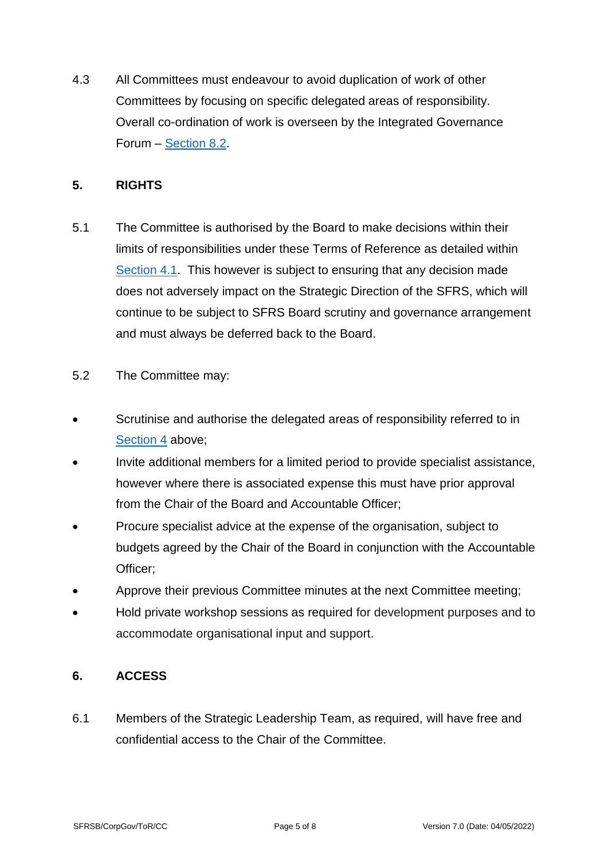4.3 All Committees must endeavour to avoid duplication of work of other Committees by focusing on specific delegated areas of responsibility. Overall co-ordination of work is overseen by the Integrated Governance Forum – [Section 8.2.](#page-5-3)

#### <span id="page-4-0"></span>**5. RIGHTS**

- 5.1 The Committee is authorised by the Board to make decisions within their limits of responsibilities under these Terms of Reference as detailed within [Section 4.1.](#page-3-2) This however is subject to ensuring that any decision made does not adversely impact on the Strategic Direction of the SFRS, which will continue to be subject to SFRS Board scrutiny and governance arrangement and must always be deferred back to the Board.
- 5.2 The Committee may:
- Scrutinise and authorise the delegated areas of responsibility referred to in [Section 4](#page-3-1) above;
- Invite additional members for a limited period to provide specialist assistance, however where there is associated expense this must have prior approval from the Chair of the Board and Accountable Officer;
- Procure specialist advice at the expense of the organisation, subject to budgets agreed by the Chair of the Board in conjunction with the Accountable Officer;
- Approve their previous Committee minutes at the next Committee meeting;
- Hold private workshop sessions as required for development purposes and to accommodate organisational input and support.

### <span id="page-4-1"></span>**6. ACCESS**

6.1 Members of the Strategic Leadership Team, as required, will have free and confidential access to the Chair of the Committee.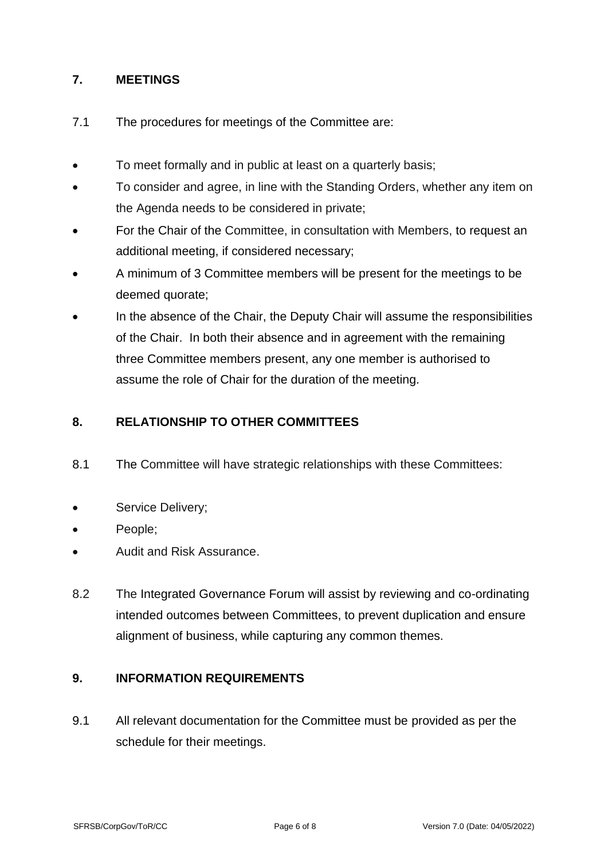### <span id="page-5-0"></span>**7. MEETINGS**

- 7.1 The procedures for meetings of the Committee are:
- To meet formally and in public at least on a quarterly basis;
- To consider and agree, in line with the Standing Orders, whether any item on the Agenda needs to be considered in private;
- For the Chair of the Committee, in consultation with Members, to request an additional meeting, if considered necessary;
- A minimum of 3 Committee members will be present for the meetings to be deemed quorate;
- In the absence of the Chair, the Deputy Chair will assume the responsibilities of the Chair. In both their absence and in agreement with the remaining three Committee members present, any one member is authorised to assume the role of Chair for the duration of the meeting.

### <span id="page-5-1"></span>**8. RELATIONSHIP TO OTHER COMMITTEES**

- 8.1 The Committee will have strategic relationships with these Committees:
- Service Delivery;
- People;
- Audit and Risk Assurance.
- <span id="page-5-3"></span>8.2 The Integrated Governance Forum will assist by reviewing and co-ordinating intended outcomes between Committees, to prevent duplication and ensure alignment of business, while capturing any common themes.

#### <span id="page-5-2"></span>**9. INFORMATION REQUIREMENTS**

9.1 All relevant documentation for the Committee must be provided as per the schedule for their meetings.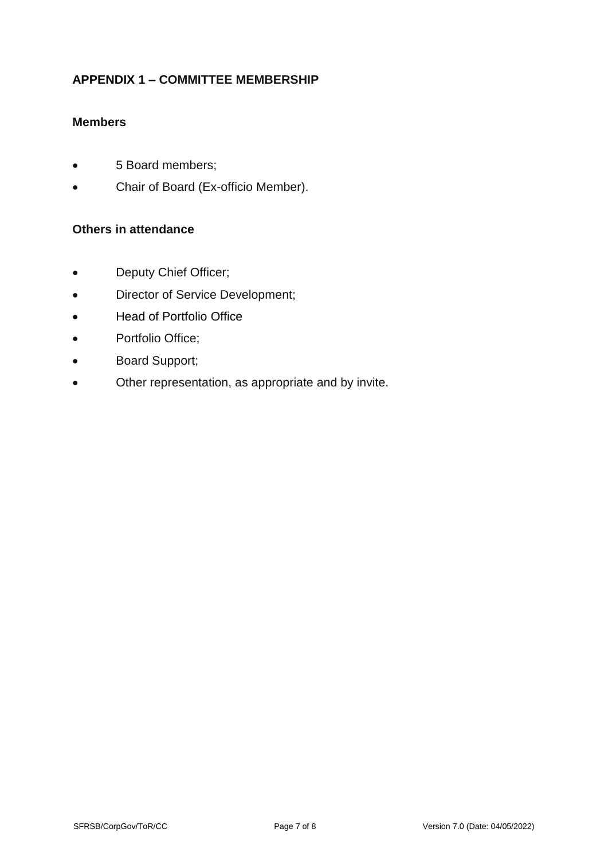## <span id="page-6-0"></span>**APPENDIX 1 – COMMITTEE MEMBERSHIP**

## **Members**

- 5 Board members;
- Chair of Board (Ex-officio Member).

#### **Others in attendance**

- Deputy Chief Officer;
- Director of Service Development;
- Head of Portfolio Office
- Portfolio Office;
- Board Support;
- Other representation, as appropriate and by invite.